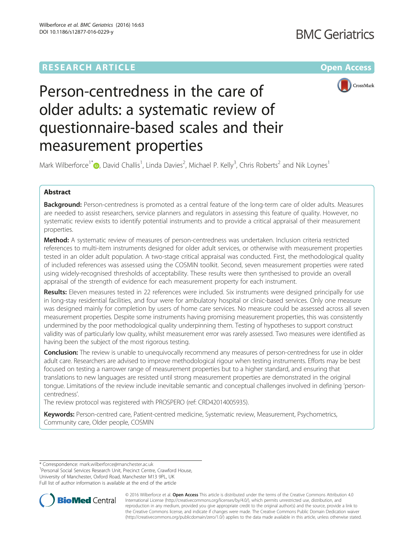## **RESEARCH ARTICLE Example 2014 12:30 The Community Community Community Community Community Community Community**



# Person-centredness in the care of older adults: a systematic review of questionnaire-based scales and their measurement properties

Mark Wilberforce<sup>1[\\*](http://orcid.org/0000-0001-6977-4483)</sup> (D, David Challis<sup>1</sup>, Linda Davies<sup>2</sup>, Michael P. Kelly<sup>3</sup>, Chris Roberts<sup>2</sup> and Nik Loynes<sup>1</sup>

### Abstract

**Background:** Person-centredness is promoted as a central feature of the long-term care of older adults. Measures are needed to assist researchers, service planners and regulators in assessing this feature of quality. However, no systematic review exists to identify potential instruments and to provide a critical appraisal of their measurement properties.

Method: A systematic review of measures of person-centredness was undertaken. Inclusion criteria restricted references to multi-item instruments designed for older adult services, or otherwise with measurement properties tested in an older adult population. A two-stage critical appraisal was conducted. First, the methodological quality of included references was assessed using the COSMIN toolkit. Second, seven measurement properties were rated using widely-recognised thresholds of acceptability. These results were then synthesised to provide an overall appraisal of the strength of evidence for each measurement property for each instrument.

Results: Eleven measures tested in 22 references were included. Six instruments were designed principally for use in long-stay residential facilities, and four were for ambulatory hospital or clinic-based services. Only one measure was designed mainly for completion by users of home care services. No measure could be assessed across all seven measurement properties. Despite some instruments having promising measurement properties, this was consistently undermined by the poor methodological quality underpinning them. Testing of hypotheses to support construct validity was of particularly low quality, whilst measurement error was rarely assessed. Two measures were identified as having been the subject of the most rigorous testing.

**Conclusion:** The review is unable to unequivocally recommend any measures of person-centredness for use in older adult care. Researchers are advised to improve methodological rigour when testing instruments. Efforts may be best focused on testing a narrower range of measurement properties but to a higher standard, and ensuring that translations to new languages are resisted until strong measurement properties are demonstrated in the original tongue. Limitations of the review include inevitable semantic and conceptual challenges involved in defining 'personcentredness'.

The review protocol was registered with PROSPERO (ref: CRD42014005935).

Keywords: Person-centred care, Patient-centred medicine, Systematic review, Measurement, Psychometrics, Community care, Older people, COSMIN

<sup>1</sup> Personal Social Services Research Unit, Precinct Centre, Crawford House, University of Manchester, Oxford Road, Manchester M13 9PL, UK Full list of author information is available at the end of the article



© 2016 Wilberforce et al. Open Access This article is distributed under the terms of the Creative Commons Attribution 4.0 International License [\(http://creativecommons.org/licenses/by/4.0/](http://creativecommons.org/licenses/by/4.0/)), which permits unrestricted use, distribution, and reproduction in any medium, provided you give appropriate credit to the original author(s) and the source, provide a link to the Creative Commons license, and indicate if changes were made. The Creative Commons Public Domain Dedication waiver [\(http://creativecommons.org/publicdomain/zero/1.0/](http://creativecommons.org/publicdomain/zero/1.0/)) applies to the data made available in this article, unless otherwise stated.

<sup>\*</sup> Correspondence: [mark.wilberforce@manchester.ac.uk](mailto:mark.wilberforce@manchester.ac.uk) <sup>1</sup>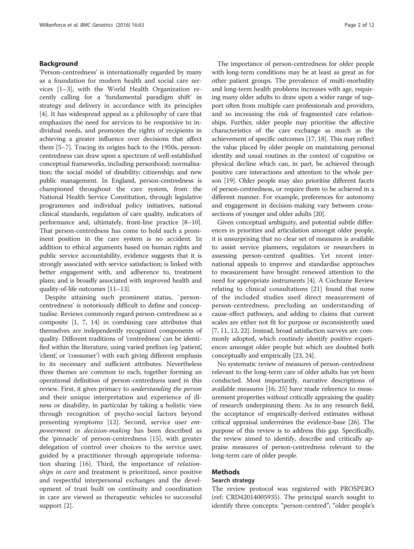#### Background

'Person-centredness' is internationally regarded by many as a foundation for modern health and social care services [\[1](#page-10-0)–[3\]](#page-10-0), with the World Health Organization recently calling for a 'fundamental paradigm shift' in strategy and delivery in accordance with its principles [[4\]](#page-10-0). It has widespread appeal as a philosophy of care that emphasizes the need for services to be responsive to individual needs, and promotes the rights of recipients in achieving a greater influence over decisions that affect them [\[5](#page-10-0)–[7](#page-10-0)]. Tracing its origins back to the 1950s, personcentredness can draw upon a spectrum of well-established conceptual frameworks, including personhood; normalisation; the social model of disability; citizenship; and new public management. In England, person-centredness is championed throughout the care system, from the National Health Service Constitution, through legislative programmes and individual policy initiatives, national clinical standards, regulation of care quality, indicators of performance and, ultimately, front-line practice [\[8](#page-10-0)–[10](#page-10-0)]. That person-centredness has come to hold such a prominent position in the care system is no accident. In addition to ethical arguments based on human rights and public service accountability, evidence suggests that it is strongly associated with service satisfaction; is linked with better engagement with, and adherence to, treatment plans; and is broadly associated with improved health and quality-of-life outcomes [[11](#page-10-0)–[13\]](#page-10-0).

Despite attaining such prominent status, `personcentredness' is notoriously difficult to define and conceptualise. Reviews commonly regard person-centredness as a composite [\[1](#page-10-0), [7](#page-10-0), [14](#page-11-0)] in combining care attributes that themselves are independently recognized components of quality. Different traditions of 'centredness' can be identified within the literature, using varied prefixes (eg 'patient', 'client', or 'consumer') with each giving different emphasis to its necessary and sufficient attributes. Nevertheless three themes are common to each, together forming an operational definition of person-centredness used in this review. First, it gives primacy to understanding the person and their unique interpretation and experience of illness or disability, in particular by taking a holistic view through recognition of psycho-social factors beyond presenting symptoms [\[12](#page-10-0)]. Second, service user empowerment in decision-making has been described as the 'pinnacle' of person-centredness [[15\]](#page-11-0), with greater delegation of control over choices to the service user, guided by a practitioner through appropriate information sharing [[16\]](#page-11-0). Third, the importance of relationships in care and treatment is prioritized, since positive and respectful interpersonal exchanges and the development of trust built on continuity and coordination in care are viewed as therapeutic vehicles to successful support [\[2](#page-10-0)].

The importance of person-centredness for older people with long-term conditions may be at least as great as for other patient groups. The prevalence of multi-morbidity and long-term health problems increases with age, requiring many older adults to draw upon a wider range of support often from multiple care professionals and providers, and so increasing the risk of fragmented care relationships. Further, older people may prioritise the affective characteristics of the care exchange as much as the achievement of specific outcomes [\[17, 18\]](#page-11-0). This may reflect the value placed by older people on maintaining personal identity and usual routines in the context of cognitive or physical decline which can, in part, be achieved through positive care interactions and attention to the whole person [\[19](#page-11-0)]. Older people may also prioritise different facets of person-centredness, or require them to be achieved in a different manner. For example, preferences for autonomy and engagement in decision-making vary between crosssections of younger and older adults [[20](#page-11-0)].

Given conceptual ambiguity, and potential subtle differences in priorities and articulation amongst older people, it is unsurprising that no clear set of measures is available to assist service planners, regulators or researchers in assessing person-centred qualities. Yet recent international appeals to improve and standardise approaches to measurement have brought renewed attention to the need for appropriate instruments [\[4](#page-10-0)]. A Cochrane Review relating to clinical consultations [[21\]](#page-11-0) found that none of the included studies used direct measurement of person-centredness, precluding an understanding of cause-effect pathways, and adding to claims that current scales are either not fit for purpose or inconsistently used [[7, 11](#page-10-0), [12](#page-10-0), [22\]](#page-11-0). Instead, broad satisfaction surveys are commonly adopted, which routinely identify positive experiences amongst older people but which are doubted both conceptually and empirically [[23](#page-11-0), [24\]](#page-11-0).

No systematic review of measures of person-centredness relevant to the long-term care of older adults has yet been conducted. Most importantly, narrative descriptions of available measures [[16](#page-11-0), [25](#page-11-0)] have made reference to measurement properties without critically appraising the quality of research underpinning them. As in any research field, the acceptance of empirically-derived estimates without critical appraisal undermines the evidence-base [\[26\]](#page-11-0). The purpose of this review is to address this gap. Specifically, the review aimed to identify, describe and critically appraise measures of person-centredness relevant to the long-term care of older people.

#### Methods

#### Search strategy

The review protocol was registered with PROSPERO (ref: CRD42014005935). The principal search sought to identify three concepts: "person-centred"; "older people's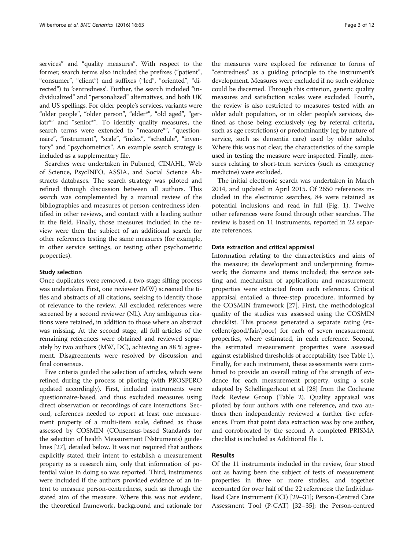services" and "quality measures". With respect to the former, search terms also included the prefixes ("patient", "consumer", "client") and suffixes ("led", "oriented", "directed") to 'centredness'. Further, the search included "individualized" and "personalized" alternatives, and both UK and US spellings. For older people's services, variants were "older people", "older person", "elder\*", "old aged", "geriatr\*" and "senior\*". To identify quality measures, the search terms were extended to "measure\*", "questionnaire", "instrument", "scale", "index", "schedule", "inventory" and "psychometrics". An example search strategy is included as a supplementary file.

Searches were undertaken in Pubmed, CINAHL, Web of Science, PsycINFO, ASSIA, and Social Science Abstracts databases. The search strategy was piloted and refined through discussion between all authors. This search was complemented by a manual review of the bibliographies and measures of person-centredness identified in other reviews, and contact with a leading author in the field. Finally, those measures included in the review were then the subject of an additional search for other references testing the same measures (for example, in other service settings, or testing other psychometric properties).

#### Study selection

Once duplicates were removed, a two-stage sifting process was undertaken. First, one reviewer (MW) screened the titles and abstracts of all citations, seeking to identify those of relevance to the review. All excluded references were screened by a second reviewer (NL). Any ambiguous citations were retained, in addition to those where an abstract was missing. At the second stage, all full articles of the remaining references were obtained and reviewed separately by two authors (MW, DC), achieving an 88 % agreement. Disagreements were resolved by discussion and final consensus.

Five criteria guided the selection of articles, which were refined during the process of piloting (with PROSPERO updated accordingly). First, included instruments were questionnaire-based, and thus excluded measures using direct observation or recordings of care interactions. Second, references needed to report at least one measurement property of a multi-item scale, defined as those assessed by COSMIN (COnsensus-based Standards for the selection of health Measurement INstruments) guidelines [\[27\]](#page-11-0), detailed below. It was not required that authors explicitly stated their intent to establish a measurement property as a research aim, only that information of potential value in doing so was reported. Third, instruments were included if the authors provided evidence of an intent to measure person-centredness, such as through the stated aim of the measure. Where this was not evident, the theoretical framework, background and rationale for

the measures were explored for reference to forms of "centredness" as a guiding principle to the instrument's development. Measures were excluded if no such evidence could be discerned. Through this criterion, generic quality measures and satisfaction scales were excluded. Fourth, the review is also restricted to measures tested with an older adult population, or in older people's services, defined as those being exclusively (eg by referral criteria, such as age restrictions) or predominantly (eg by nature of service, such as dementia care) used by older adults. Where this was not clear, the characteristics of the sample used in testing the measure were inspected. Finally, measures relating to short-term services (such as emergency medicine) were excluded.

The initial electronic search was undertaken in March 2014, and updated in April 2015. Of 2650 references included in the electronic searches, 84 were retained as potential inclusions and read in full (Fig. [1](#page-3-0)). Twelve other references were found through other searches. The review is based on 11 instruments, reported in 22 separate references.

#### Data extraction and critical appraisal

Information relating to the characteristics and aims of the measure; its development and underpinning framework; the domains and items included; the service setting and mechanism of application; and measurement properties were extracted from each reference. Critical appraisal entailed a three-step procedure, informed by the COSMIN framework [[27](#page-11-0)]. First, the methodological quality of the studies was assessed using the COSMIN checklist. This process generated a separate rating (excellent/good/fair/poor) for each of seven measurement properties, where estimated, in each reference. Second, the estimated measurement properties were assessed against established thresholds of acceptability (see Table [1](#page-4-0)). Finally, for each instrument, these assessments were combined to provide an overall rating of the strength of evidence for each measurement property, using a scale adapted by Schellingerhout et al. [[28](#page-11-0)] from the Cochrane Back Review Group (Table [2](#page-4-0)). Quality appraisal was piloted by four authors with one reference, and two authors then independently reviewed a further five references. From that point data extraction was by one author, and corroborated by the second. A completed PRISMA checklist is included as Additional file [1](#page-10-0).

#### Results

Of the 11 instruments included in the review, four stood out as having been the subject of tests of measurement properties in three or more studies, and together accounted for over half of the 22 references: the Individualised Care Instrument (ICI) [\[29](#page-11-0)–[31\]](#page-11-0); Person-Centred Care Assessment Tool (P-CAT) [\[32](#page-11-0)–[35](#page-11-0)]; the Person-centred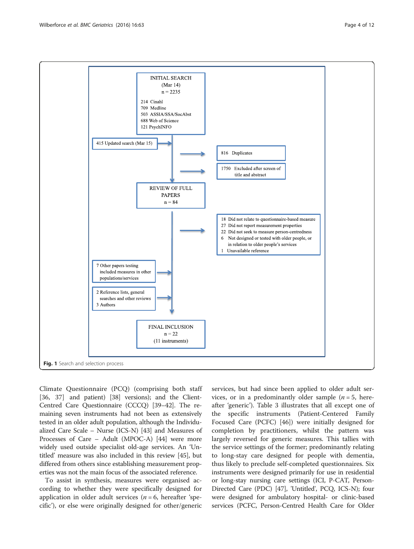<span id="page-3-0"></span>

Climate Questionnaire (PCQ) (comprising both staff [[36, 37\]](#page-11-0) and patient) [[38\]](#page-11-0) versions); and the Client-Centred Care Questionnaire (CCCQ) [\[39](#page-11-0)–[42](#page-11-0)]. The remaining seven instruments had not been as extensively tested in an older adult population, although the Individualized Care Scale – Nurse (ICS-N) [[43\]](#page-11-0) and Measures of Processes of Care – Adult (MPOC-A) [[44](#page-11-0)] were more widely used outside specialist old-age services. An 'Untitled' measure was also included in this review [[45](#page-11-0)], but differed from others since establishing measurement properties was not the main focus of the associated reference.

To assist in synthesis, measures were organised according to whether they were specifically designed for application in older adult services ( $n = 6$ , hereafter 'specific'), or else were originally designed for other/generic

services, but had since been applied to older adult services, or in a predominantly older sample ( $n = 5$ , hereafter 'generic'). Table [3](#page-5-0) illustrates that all except one of the specific instruments (Patient-Centered Family Focused Care (PCFC) [[46\]](#page-11-0)) were initially designed for completion by practitioners, whilst the pattern was largely reversed for generic measures. This tallies with the service settings of the former; predominantly relating to long-stay care designed for people with dementia, thus likely to preclude self-completed questionnaires. Six instruments were designed primarily for use in residential or long-stay nursing care settings (ICI, P-CAT, Person-Directed Care (PDC) [\[47\]](#page-11-0), 'Untitled', PCQ, ICS-N); four were designed for ambulatory hospital- or clinic-based services (PCFC, Person-Centred Health Care for Older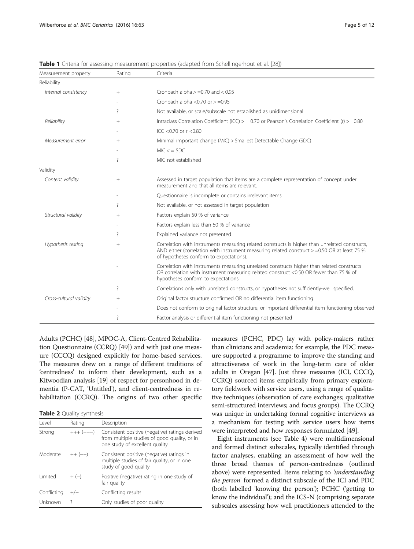| Measurement property    | Rating                   | Criteria                                                                                                                                                                                                                                     |
|-------------------------|--------------------------|----------------------------------------------------------------------------------------------------------------------------------------------------------------------------------------------------------------------------------------------|
| Reliability             |                          |                                                                                                                                                                                                                                              |
| Internal consistency    | $+$                      | Cronbach alpha $> = 0.70$ and $< 0.95$                                                                                                                                                                                                       |
|                         |                          | Cronbach alpha < $0.70$ or > = $0.95$                                                                                                                                                                                                        |
|                         | ?                        | Not available, or scale/subscale not established as unidimensional                                                                                                                                                                           |
| Reliability             | $^{+}$                   | Intraclass Correlation Coefficient (ICC) $>$ = 0.70 or Pearson's Correlation Coefficient (r) $>$ =0.80                                                                                                                                       |
|                         |                          | $ICC < 0.70$ or $r < 0.80$                                                                                                                                                                                                                   |
| Measurement error       | $^{+}$                   | Minimal important change (MIC) > Smallest Detectable Change (SDC)                                                                                                                                                                            |
|                         |                          | $MIC < = SDC$                                                                                                                                                                                                                                |
|                         | $\overline{\phantom{a}}$ | MIC not established                                                                                                                                                                                                                          |
| Validity                |                          |                                                                                                                                                                                                                                              |
| Content validity        | $^{+}$                   | Assessed in target population that items are a complete representation of concept under<br>measurement and that all items are relevant.                                                                                                      |
|                         |                          | Questionnaire is incomplete or contains irrelevant items                                                                                                                                                                                     |
|                         | ?                        | Not available, or not assessed in target population                                                                                                                                                                                          |
| Structural validity     | $+$                      | Factors explain 50 % of variance                                                                                                                                                                                                             |
|                         |                          | Factors explain less than 50 % of variance                                                                                                                                                                                                   |
|                         | ?                        | Explained variance not presented                                                                                                                                                                                                             |
| Hypothesis testing      | $^{+}$                   | Correlation with instruments measuring related constructs is higher than unrelated constructs,<br>AND either (correlation with instrument measuring related construct $> = 0.50$ OR at least 75 %<br>of hypotheses conform to expectations). |
|                         |                          | Correlation with instruments measuring unrelated constructs higher than related constructs<br>OR correlation with instrument measuring related construct <0.50 OR fewer than 75 % of<br>hypotheses conform to expectations.                  |
|                         | ?                        | Correlations only with unrelated constructs, or hypotheses not sufficiently-well specified.                                                                                                                                                  |
| Cross-cultural validity | $+$                      | Original factor structure confirmed OR no differential item functioning                                                                                                                                                                      |
|                         |                          | Does not conform to original factor structure, or important differential item functioning observed                                                                                                                                           |
|                         | $\overline{\phantom{a}}$ | Factor analysis or differential item functioning not presented                                                                                                                                                                               |

<span id="page-4-0"></span>Table 1 Criteria for assessing measurement properties (adapted from Schellingerhout et al. [[28\]](#page-11-0))

Adults (PCHC) [[48](#page-11-0)], MPOC-A, Client-Centred Rehabilitation Questionnaire (CCRQ) [\[49\]](#page-11-0)) and with just one measure (CCCQ) designed explicitly for home-based services. The measures drew on a range of different traditions of 'centredness' to inform their development, such as a Kitwoodian analysis [[19](#page-11-0)] of respect for personhood in dementia (P-CAT, 'Untitled'), and client-centredness in rehabilitation (CCRQ). The origins of two other specific

Table 2 Quality synthesis

| l evel      | Rating      | Description                                                                                                                      |
|-------------|-------------|----------------------------------------------------------------------------------------------------------------------------------|
| Strong      | $+++ (---)$ | Consistent positive (negative) ratings derived<br>from multiple studies of good quality, or in<br>one study of excellent quality |
| Moderate    | $++$ $(--)$ | Consistent positive (negative) ratings in<br>multiple studies of fair quality, or in one<br>study of good quality                |
| I imited    | $+(-)$      | Positive (negative) rating in one study of<br>fair quality                                                                       |
| Conflicting | $+/-$       | Conflicting results                                                                                                              |
| Unknown     |             | Only studies of poor quality                                                                                                     |

measures (PCHC, PDC) lay with policy-makers rather than clinicians and academia: for example, the PDC measure supported a programme to improve the standing and attractiveness of work in the long-term care of older adults in Oregan [\[47\]](#page-11-0). Just three measures (ICI, CCCQ, CCRQ) sourced items empirically from primary exploratory fieldwork with service users, using a range of qualitative techniques (observation of care exchanges; qualitative semi-structured interviews; and focus groups). The CCRQ was unique in undertaking formal cognitive interviews as a mechanism for testing with service users how items were interpreted and how responses formulated [[49](#page-11-0)].

Eight instruments (see Table [4\)](#page-6-0) were multidimensional and formed distinct subscales, typically identified through factor analyses, enabling an assessment of how well the three broad themes of person-centredness (outlined above) were represented. Items relating to 'understanding the person' formed a distinct subscale of the ICI and PDC (both labelled 'knowing the person'); PCHC ('getting to know the individual'); and the ICS-N (comprising separate subscales assessing how well practitioners attended to the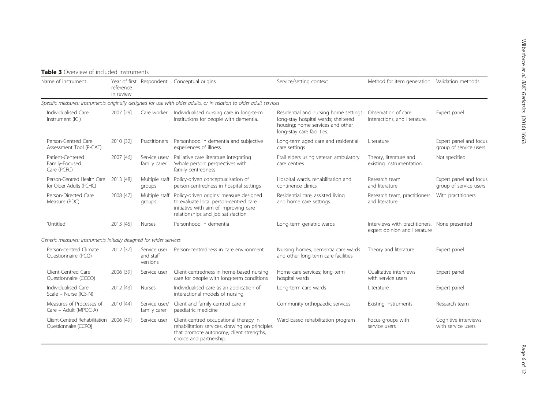#### <span id="page-5-0"></span>Table 3 Overview of included instruments

| Name of instrument                                                  | reference<br>in review | Year of first Respondent                                                                                                                                                                                                                             | Service/setting context<br>Conceptual origins                                                                                                                   |                                                                           | Method for item generation Validation methods                                  |                                                  |  |
|---------------------------------------------------------------------|------------------------|------------------------------------------------------------------------------------------------------------------------------------------------------------------------------------------------------------------------------------------------------|-----------------------------------------------------------------------------------------------------------------------------------------------------------------|---------------------------------------------------------------------------|--------------------------------------------------------------------------------|--------------------------------------------------|--|
|                                                                     |                        |                                                                                                                                                                                                                                                      | Specific measures: instruments originally designed for use with older adults, or in relation to older adult services                                            |                                                                           |                                                                                |                                                  |  |
| Individualised Care<br>Instrument (ICI)                             | 2007 [29]              | Individualised nursing care in long-term<br>Residential and nursing home settings;<br>Care worker<br>institutions for people with dementia.<br>long-stay hospital wards; sheltered<br>housing; home services and other<br>long-stay care facilities. |                                                                                                                                                                 | Observation of care<br>interactions, and literature.                      | Expert panel                                                                   |                                                  |  |
| Person-Centred Care<br>Assessment Tool (P-CAT)                      | 2010 [32]              | Practitioners                                                                                                                                                                                                                                        | Personhood in dementia and subjective<br>experiences of illness.                                                                                                | Long-term aged care and residential<br>care settings                      | Literature                                                                     | Expert panel and focus<br>group of service users |  |
| Patient-Centered<br>Family-Focused<br>Care (PCFC)                   | 2007 [46]              | Service user/<br>family carer                                                                                                                                                                                                                        | Palliative care literature integrating<br>'whole person' perspectives with<br>family-centredness                                                                | Frail elders using veteran ambulatory<br>care centres                     | Theory, literature and<br>existing instrumentation                             | Not specified                                    |  |
| Person-Centred Health Care<br>for Older Adults (PCHC)               | 2013 [48]              | Multiple staff<br>groups                                                                                                                                                                                                                             | Policy-driven conceptualisation of<br>person-centredness in hospital settings                                                                                   | Hospital wards, rehabilitation and<br>continence clinics                  | Research team<br>and literature                                                | Expert panel and focus<br>group of service users |  |
| Person-Directed Care<br>Measure (PDC)                               | 2008 [47]              | Multiple staff<br>groups                                                                                                                                                                                                                             | Policy-driven origins: measure designed<br>to evaluate local person-centred care<br>initiative with aim of improving care<br>relationships and job satisfaction | Residential care, assisted living<br>and home care settings.              | Research team, practitioners<br>and literature.                                | With practitioners                               |  |
| 'Untitled'                                                          | 2013 [45]              | <b>Nurses</b>                                                                                                                                                                                                                                        | Personhood in dementia                                                                                                                                          | Long-term geriatric wards                                                 | Interviews with practitioners, None presented<br>expert opinion and literature |                                                  |  |
| Generic measures: instruments initially designed for wider services |                        |                                                                                                                                                                                                                                                      |                                                                                                                                                                 |                                                                           |                                                                                |                                                  |  |
| Person-centred Climate<br>Questionnaire (PCQ)                       | 2012 [37]              | Service user<br>and staff<br>versions                                                                                                                                                                                                                | Person-centredness in care environment                                                                                                                          | Nursing homes, dementia care wards<br>and other long-term care facilities | Theory and literature                                                          | Expert panel                                     |  |
| Client-Centred Care<br>Questionnaire (CCCQ)                         | 2006 [39]              | Service user                                                                                                                                                                                                                                         | Client-centredness in home-based nursing<br>care for people with long-term conditions                                                                           | Home care services; long-term<br>hospital wards                           | Oualitative interviews<br>with service users                                   | Expert panel                                     |  |
| Individualised Care<br>Scale - Nurse (ICS-N)                        | 2012 [43]              | <b>Nurses</b>                                                                                                                                                                                                                                        | Individualised care as an application of<br>interactional models of nursing.                                                                                    | Long-term care wards                                                      | Literature                                                                     | Expert panel                                     |  |
| Measures of Processes of<br>Care - Adult (MPOC-A)                   | 2010 [44]              | Service user/<br>family carer                                                                                                                                                                                                                        | Client and family-centred care in<br>paediatric medicine                                                                                                        | Community orthopaedic services                                            | Existing instruments                                                           | Research team                                    |  |
| Client-Centred Rehabilitation<br>Questionnaire (CCRQ)               | 2006 [49]              | Service user                                                                                                                                                                                                                                         | Client-centred occupational therapy in<br>rehabilitation services, drawing on principles<br>that promote autonomy, client strengths,<br>choice and partnership. | Ward-based rehabilitation program                                         | Focus groups with<br>service users                                             | Cognitive interviews<br>with service users       |  |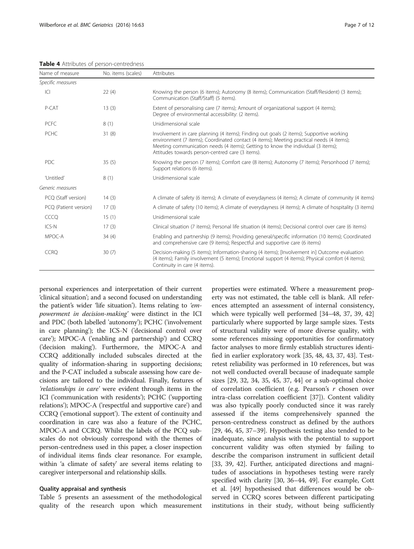<span id="page-6-0"></span>Table 4 Attributes of person-centredness

| Name of measure       | No. items (scales) | Attributes                                                                                                                                                                                                                                                                                                                  |
|-----------------------|--------------------|-----------------------------------------------------------------------------------------------------------------------------------------------------------------------------------------------------------------------------------------------------------------------------------------------------------------------------|
| Specific measures     |                    |                                                                                                                                                                                                                                                                                                                             |
| C                     | 22(4)              | Knowing the person (6 items); Autonomy (8 items); Communication (Staff/Resident) (3 items);<br>Communication (Staff/Staff) (5 items).                                                                                                                                                                                       |
| P-CAT                 | 13(3)              | Extent of personalising care (7 items); Amount of organizational support (4 items);<br>Degree of environmental accessibility: (2 items).                                                                                                                                                                                    |
| <b>PCFC</b>           | 8(1)               | Unidimensional scale                                                                                                                                                                                                                                                                                                        |
| <b>PCHC</b>           | 31(8)              | Involvement in care planning (4 items); Finding out goals (2 items); Supportive working<br>environment (7 items); Coordinated contact (4 items); Meeting practical needs (4 items);<br>Meeting communication needs (4 items); Getting to know the individual (3 items);<br>Attitudes towards person-centred care (3 items). |
| <b>PDC</b>            | 35(5)              | Knowing the person (7 items); Comfort care (8 items); Autonomy (7 items); Personhood (7 items);<br>Support relations (6 items).                                                                                                                                                                                             |
| 'Untitled'            | 8(1)               | Unidimensional scale                                                                                                                                                                                                                                                                                                        |
| Generic measures      |                    |                                                                                                                                                                                                                                                                                                                             |
| PCQ (Staff version)   | 14(3)              | A climate of safety (6 items); A climate of everydayness (4 items); A climate of community (4 items)                                                                                                                                                                                                                        |
| PCQ (Patient version) | 17(3)              | A climate of safety (10 items); A climate of everydayness (4 items); A climate of hospitality (3 items)                                                                                                                                                                                                                     |
| CCCQ                  | 15(1)              | Unidimensional scale                                                                                                                                                                                                                                                                                                        |
| ICS-N                 | 17(3)              | Clinical situation (7 items); Personal life situation (4 items); Decisional control over care (6 items)                                                                                                                                                                                                                     |
| MPOC-A                | 34(4)              | Enabling and partnership (9 items); Providing general/specific information (10 items); Coordinated<br>and comprehensive care (9 items); Respectful and supportive care (6 items)                                                                                                                                            |
| <b>CCRQ</b>           | 30(7)              | Decision-making (5 items); Information-sharing (4 items); [Involvement in] Outcome evaluation<br>(4 items); Family involvement (5 items); Emotional support (4 items); Physical comfort (4 items);<br>Continuity in care (4 items).                                                                                         |

personal experiences and interpretation of their current 'clinical situation'; and a second focused on understanding the patient's wider 'life situation'). Items relating to 'empowerment in decision-making' were distinct in the ICI and PDC (both labelled 'autonomy'); PCHC ('involvement in care planning'); the ICS-N ('decisional control over care'); MPOC-A ('enabling and partnership') and CCRQ ('decision making'). Furthermore, the MPOC-A and CCRQ additionally included subscales directed at the quality of information-sharing in supporting decisions; and the P-CAT included a subscale assessing how care decisions are tailored to the individual. Finally, features of 'relationships in care' were evident through items in the ICI ('communication with residents'); PCHC ('supporting relations'); MPOC-A ('respectful and supportive care') and CCRQ ('emotional support'). The extent of continuity and coordination in care was also a feature of the PCHC, MPOC-A and CCRQ. Whilst the labels of the PCQ subscales do not obviously correspond with the themes of person-centredness used in this paper, a closer inspection of individual items finds clear resonance. For example, within 'a climate of safety' are several items relating to caregiver interpersonal and relationship skills.

#### Quality appraisal and synthesis

Table [5](#page-7-0) presents an assessment of the methodological quality of the research upon which measurement

properties were estimated. Where a measurement property was not estimated, the table cell is blank. All references attempted an assessment of internal consistency, which were typically well performed [[34](#page-11-0)–[48](#page-11-0), [37](#page-11-0), [39, 42](#page-11-0)] particularly where supported by large sample sizes. Tests of structural validity were of more diverse quality, with some references missing opportunities for confirmatory factor analyses to more firmly establish structures identified in earlier exploratory work [[35, 48, 43, 37, 43\]](#page-11-0). Testretest reliability was performed in 10 references, but was not well conducted overall because of inadequate sample sizes [\[29](#page-11-0), [32, 34, 35](#page-11-0), [45, 37](#page-11-0), [44\]](#page-11-0) or a sub-optimal choice of correlation coefficient (e.g. Pearson's r chosen over intra-class correlation coefficient [\[37\]](#page-11-0)). Content validity was also typically poorly conducted since it was rarely assessed if the items comprehensively spanned the person-centredness construct as defined by the authors [[29, 46, 45](#page-11-0), [37](#page-11-0)–[39](#page-11-0)]. Hypothesis testing also tended to be inadequate, since analysis with the potential to support concurrent validity was often stymied by failing to describe the comparison instrument in sufficient detail [[33, 39](#page-11-0), [42](#page-11-0)]. Further, anticipated directions and magnitudes of associations in hypotheses testing were rarely specified with clarity [\[30](#page-11-0), [36](#page-11-0)–[44, 49](#page-11-0)]. For example, Cott et al. [[49](#page-11-0)] hypothesised that differences would be observed in CCRQ scores between different participating institutions in their study, without being sufficiently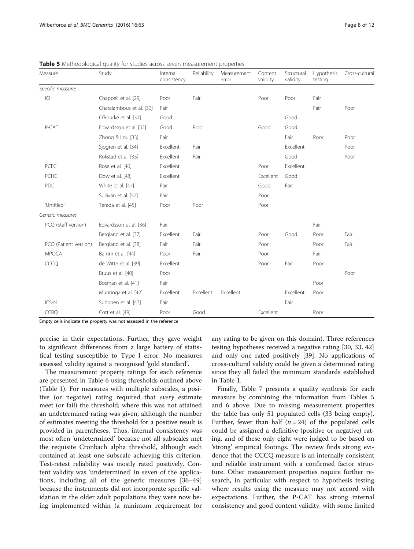| Measure               | Study                    | Internal<br>consistency | Reliability | Measurement<br>error | Content<br>validity | Structural<br>validity | Hypothesis<br>testing | Cross-cultural |
|-----------------------|--------------------------|-------------------------|-------------|----------------------|---------------------|------------------------|-----------------------|----------------|
| Specific measures     |                          |                         |             |                      |                     |                        |                       |                |
| C                     | Chappell et al. [29]     | Poor                    | Fair        |                      | Poor                | Poor                   | Fair                  |                |
|                       | Charalambous et al. [30] | Fair                    |             |                      |                     |                        | Fair                  | Poor           |
|                       | O'Rourke et al. [31]     | Good                    |             |                      |                     | Good                   |                       |                |
| P-CAT                 | Edvardsson et al. [32]   | Good                    | Poor        |                      | Good                | Good                   |                       |                |
|                       | Zhong & Lou [33]         | Fair                    |             |                      |                     | Fair                   | Poor                  | Poor           |
|                       | Sjogren et al. [34]      | Excellent               | Fair        |                      |                     | Excellent              |                       | Poor           |
|                       | Rokstad et al. [35]      | Excellent               | Fair        |                      |                     | Good                   |                       | Poor           |
| PCFC                  | Rose et al. [46]         | Excellent               |             |                      | Poor                | Excellent              |                       |                |
| PCHC                  | Dow et al. [48]          | Excellent               |             |                      | Excellent           | Good                   |                       |                |
| <b>PDC</b>            | White et al. [47]        | Fair                    |             |                      | Good                | Fair                   |                       |                |
|                       | Sullivan et al. [52]     | Fair                    |             |                      | Poor                |                        |                       |                |
| 'Untitled'            | Terada et al. [45]       | Poor                    | Poor        |                      | Poor                |                        |                       |                |
| Generic measures      |                          |                         |             |                      |                     |                        |                       |                |
| PCQ (Staff version)   | Edvardsson et al. [36]   | Fair                    |             |                      |                     |                        | Fair                  |                |
|                       | Bergland et al. [37]     | Excellent               | Fair        |                      | Poor                | Good                   | Poor                  | Fair           |
| PCQ (Patient version) | Bergland et al. [38]     | Fair                    | Fair        |                      | Poor                |                        | Poor                  | Fair           |
| <b>MPOCA</b>          | Bamm et al. [44]         | Poor                    | Fair        |                      | Poor                |                        | Fair                  |                |
| CCCQ                  | de Witte et al. [39]     | Excellent               |             |                      | Poor                | Fair                   | Poor                  |                |
|                       | Bruus et al. [40]        | Poor                    |             |                      |                     |                        |                       | Poor           |
|                       | Bosman et al. [41]       | Fair                    |             |                      |                     |                        | Poor                  |                |
|                       | Muntinga et al. [42]     | Excellent               | Excellent   | Excellent            |                     | Excellent              | Poor                  |                |
| ICS-N                 | Suhonen et al. [43]      | Fair                    |             |                      |                     | Fair                   |                       |                |
| <b>CCRQ</b>           | Cott et al. [49]         | Poor                    | Good        |                      | Excellent           |                        | Poor                  |                |

<span id="page-7-0"></span>Table 5 Methodological quality for studies across seven measurement properties

Empty cells indicate the property was not assessed in the reference

precise in their expectations. Further, they gave weight to significant differences from a large battery of statistical testing susceptible to Type I error. No measures assessed validity against a recognised 'gold standard'.

The measurement property ratings for each reference are presented in Table [6](#page-8-0) using thresholds outlined above (Table [1\)](#page-4-0). For measures with multiple subscales, a positive (or negative) rating required that every estimate meet (or fail) the threshold; where this was not attained an undetermined rating was given, although the number of estimates meeting the threshold for a positive result is provided in parentheses. Thus, internal consistency was most often 'undetermined' because not all subscales met the requisite Cronbach alpha threshold, although each contained at least one subscale achieving this criterion. Test-retest reliability was mostly rated positively. Content validity was 'undetermined' in seven of the applications, including all of the generic measures [[36](#page-11-0)–[49](#page-11-0)] because the instruments did not incorporate specific validation in the older adult populations they were now being implemented within (a minimum requirement for

any rating to be given on this domain). Three references testing hypotheses received a negative rating [\[30, 33](#page-11-0), [42](#page-11-0)] and only one rated positively [\[39](#page-11-0)]. No applications of cross-cultural validity could be given a determined rating since they all failed the minimum standards established in Table [1.](#page-4-0)

Finally, Table [7](#page-9-0) presents a quality synthesis for each measure by combining the information from Tables 5 and [6](#page-8-0) above. Due to missing measurement properties the table has only 51 populated cells (33 being empty). Further, fewer than half  $(n = 24)$  of the populated cells could be assigned a definitive (positive or negative) rating, and of these only eight were judged to be based on 'strong' empirical footings. The review finds strong evidence that the CCCQ measure is an internally consistent and reliable instrument with a confirmed factor structure. Other measurement properties require further research, in particular with respect to hypothesis testing where results using the measure may not accord with expectations. Further, the P-CAT has strong internal consistency and good content validity, with some limited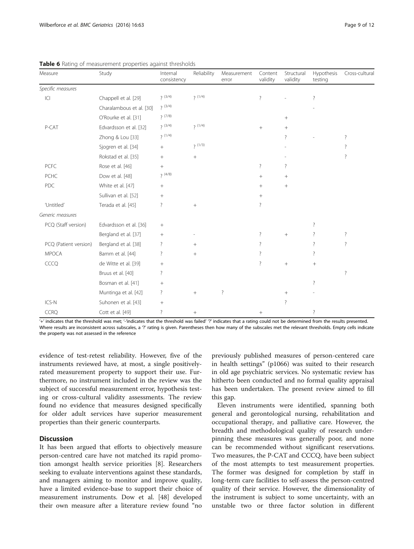| Measure               | Study                    | Internal<br>consistency | Reliability     | Measurement<br>error | Content<br>validity | Structural<br>validity   | Hypothesis<br>testing | Cross-cultural     |
|-----------------------|--------------------------|-------------------------|-----------------|----------------------|---------------------|--------------------------|-----------------------|--------------------|
| Specific measures     |                          |                         |                 |                      |                     |                          |                       |                    |
| C                     | Chappell et al. [29]     | 2(3/4)                  | 2(1/4)          |                      | $\overline{?}$      |                          | $\overline{?}$        |                    |
|                       | Charalambous et al. [30] | 7(3/4)                  |                 |                      |                     |                          |                       |                    |
|                       | O'Rourke et al. [31]     | 7(7/8)                  |                 |                      |                     | $^{+}$                   |                       |                    |
| P-CAT                 | Edvardsson et al. [32]   | 2(3/4)                  | 2(1/4)          |                      |                     | $^{+}$                   |                       |                    |
|                       | Zhong & Lou [33]         | 2(1/4)                  |                 |                      |                     | $\overline{?}$           |                       | $\overline{?}$     |
|                       | Sjogren et al. [34]      | $^{+}$                  | ? (1/3)         |                      |                     |                          |                       | $\overline{\cdot}$ |
|                       | Rokstad et al. [35]      | $^{+}$                  | $^{+}$          |                      |                     |                          |                       | $\overline{\cdot}$ |
| PCFC                  | Rose et al. [46]         | $^{+}$                  |                 |                      | $\overline{\cdot}$  | $\overline{\cdot}$       |                       |                    |
| PCHC                  | Dow et al. [48]          | 7(4/8)                  |                 |                      | $^{+}$              | $^{+}$                   |                       |                    |
| PDC                   | White et al. [47]        | $^{+}$                  |                 |                      | $^{+}$              | $^{+}$                   |                       |                    |
|                       | Sullivan et al. [52]     | $^{+}$                  |                 |                      | $^{+}$              |                          |                       |                    |
| 'Untitled'            | Terada et al. [45]       | ?                       | $\! + \!\!\!\!$ |                      | ?                   |                          |                       |                    |
| Generic measures      |                          |                         |                 |                      |                     |                          |                       |                    |
| PCQ (Staff version)   | Edvardsson et al. [36]   | $\! + \!\!\!\!$         |                 |                      |                     |                          | ?                     |                    |
|                       | Bergland et al. [37]     | $^{+}$                  |                 |                      | $\overline{?}$      | $+$                      | ?                     | $\overline{?}$     |
| PCQ (Patient version) | Bergland et al. [38]     | ?                       | $+$             |                      | ?                   |                          | ?                     | $\overline{\cdot}$ |
| <b>MPOCA</b>          | Bamm et al. [44]         | $\overline{\cdot}$      | $+$             |                      | $\overline{\cdot}$  |                          | $\overline{?}$        |                    |
| CCCQ                  | de Witte et al. [39]     | $\! + \!$               |                 |                      | $\overline{?}$      | $+$                      | $^{+}$                |                    |
|                       | Bruus et al. [40]        | ?                       |                 |                      |                     |                          |                       | $\overline{\cdot}$ |
|                       | Bosman et al. [41]       | $^{+}$                  |                 |                      |                     |                          | $\overline{\cdot}$    |                    |
|                       | Muntinga et al. [42]     | ?                       | $^{+}$          | $\overline{\cdot}$   |                     | $^{+}$                   |                       |                    |
| ICS-N                 | Suhonen et al. [43]      | $^{+}$                  |                 |                      |                     | $\overline{\mathcal{E}}$ |                       |                    |
| <b>CCRQ</b>           | Cott et al. [49]         | $\overline{\cdot}$      | $\! + \!\!\!\!$ |                      | $\! + \!\!\!\!$     |                          | $\overline{\cdot}$    |                    |

<span id="page-8-0"></span>Table 6 Rating of measurement properties against thresholds

'+' indicates that the threshold was met; '-'indicates that the threshold was failed' '?' indicates that a rating could not be determined from the results presented. Where results are inconsistent across subscales, a '?' rating is given. Parentheses then how many of the subscales met the relevant thresholds. Empty cells indicate the property was not assessed in the reference

evidence of test-retest reliability. However, five of the instruments reviewed have, at most, a single positivelyrated measurement property to support their use. Furthermore, no instrument included in the review was the subject of successful measurement error, hypothesis testing or cross-cultural validity assessments. The review found no evidence that measures designed specifically for older adult services have superior measurement properties than their generic counterparts.

#### **Discussion**

It has been argued that efforts to objectively measure person-centred care have not matched its rapid promotion amongst health service priorities [[8\]](#page-10-0). Researchers seeking to evaluate interventions against these standards, and managers aiming to monitor and improve quality, have a limited evidence-base to support their choice of measurement instruments. Dow et al. [[48\]](#page-11-0) developed their own measure after a literature review found "no

previously published measures of person-centered care in health settings" (p1066) was suited to their research in old age psychiatric services. No systematic review has hitherto been conducted and no formal quality appraisal has been undertaken. The present review aimed to fill this gap.

Eleven instruments were identified, spanning both general and gerontological nursing, rehabilitation and occupational therapy, and palliative care. However, the breadth and methodological quality of research underpinning these measures was generally poor, and none can be recommended without significant reservations. Two measures, the P-CAT and CCCQ, have been subject of the most attempts to test measurement properties. The former was designed for completion by staff in long-term care facilities to self-assess the person-centred quality of their service. However, the dimensionality of the instrument is subject to some uncertainty, with an unstable two or three factor solution in different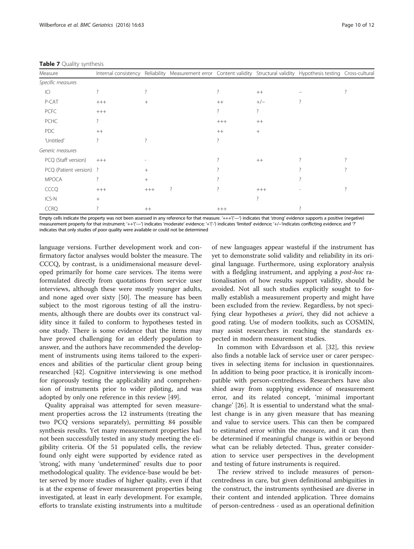<span id="page-9-0"></span>

| Measure                 |                          |         | Internal consistency Reliability Measurement error Content validity Structural validity Hypothesis testing Cross-cultura |          |          |                          |
|-------------------------|--------------------------|---------|--------------------------------------------------------------------------------------------------------------------------|----------|----------|--------------------------|
| Specific measures       |                          |         |                                                                                                                          |          |          |                          |
| C                       |                          |         |                                                                                                                          |          | $^{++}$  |                          |
| P-CAT                   | $^{+++}$                 | $^{+}$  |                                                                                                                          | $^{++}$  | $+/-$    |                          |
| <b>PCFC</b>             | $^{+++}$                 |         |                                                                                                                          | ?        | C.       |                          |
| PCHC                    |                          |         |                                                                                                                          | $^{+++}$ | $^{++}$  |                          |
| <b>PDC</b>              | $^{++}$                  |         |                                                                                                                          | $++$     | $+$      |                          |
| 'Untitled'              | $\overline{\phantom{a}}$ |         |                                                                                                                          | 7        |          |                          |
| Generic measures        |                          |         |                                                                                                                          |          |          |                          |
| PCQ (Staff version)     | $+++$                    |         |                                                                                                                          |          | $^{++}$  |                          |
| PCQ (Patient version) ? |                          | $^{+}$  |                                                                                                                          |          |          |                          |
| <b>MPOCA</b>            |                          | $+$     |                                                                                                                          |          |          |                          |
| CCCQ                    | $^{+++}$                 | $+++$   | $\overline{\phantom{a}}$                                                                                                 |          | $^{+++}$ | $\overline{\phantom{a}}$ |
| ICS-N                   | $+$                      |         |                                                                                                                          |          |          |                          |
| <b>CCRQ</b>             |                          | $^{++}$ |                                                                                                                          | $+++$    |          |                          |

Empty cells indicate the property was not been assessed in any reference for that measure. '+++'('-) indicates that 'strong' evidence supports a positive (negative) measurement property for that instrument; '++'('—') indicates 'moderate' evidence; '+'('-') indicates 'limited' evidence; '+/−'indicates conflicting evidence; and '?' indicates that only studies of poor quality were available or could not be determined

language versions. Further development work and confirmatory factor analyses would bolster the measure. The CCCQ, by contrast, is a unidimensional measure developed primarily for home care services. The items were formulated directly from quotations from service user interviews, although these were mostly younger adults, and none aged over sixty [[50](#page-11-0)]. The measure has been subject to the most rigorous testing of all the instruments, although there are doubts over its construct validity since it failed to conform to hypotheses tested in one study. There is some evidence that the items may have proved challenging for an elderly population to answer, and the authors have recommended the development of instruments using items tailored to the experiences and abilities of the particular client group being researched [\[42](#page-11-0)]. Cognitive interviewing is one method for rigorously testing the applicability and comprehension of instruments prior to wider piloting, and was adopted by only one reference in this review [[49\]](#page-11-0).

Quality appraisal was attempted for seven measurement properties across the 12 instruments (treating the two PCQ versions separately), permitting 84 possible synthesis results. Yet many measurement properties had not been successfully tested in any study meeting the eligibility criteria. Of the 51 populated cells, the review found only eight were supported by evidence rated as 'strong', with many 'undetermined' results due to poor methodological quality. The evidence-base would be better served by more studies of higher quality, even if that is at the expense of fewer measurement properties being investigated, at least in early development. For example, efforts to translate existing instruments into a multitude of new languages appear wasteful if the instrument has yet to demonstrate solid validity and reliability in its original language. Furthermore, using exploratory analysis with a fledgling instrument, and applying a *post-hoc* rationalisation of how results support validity, should be avoided. Not all such studies explicitly sought to formally establish a measurement property and might have been excluded from the review. Regardless, by not specifying clear hypotheses *a priori*, they did not achieve a good rating. Use of modern toolkits, such as COSMIN, may assist researchers in reaching the standards expected in modern measurement studies.

In common with Edvardsson et al. [\[32\]](#page-11-0), this review also finds a notable lack of service user or carer perspectives in selecting items for inclusion in questionnaires. In addition to being poor practice, it is ironically incompatible with person-centredness. Researchers have also shied away from supplying evidence of measurement error, and its related concept, 'minimal important change' [[26](#page-11-0)]. It is essential to understand what the smallest change is in any given measure that has meaning and value to service users. This can then be compared to estimated error within the measure, and it can then be determined if meaningful change is within or beyond what can be reliably detected. Thus, greater consideration to service user perspectives in the development and testing of future instruments is required.

The review strived to include measures of personcentredness in care, but given definitional ambiguities in the construct, the instruments synthesised are diverse in their content and intended application. Three domains of person-centredness - used as an operational definition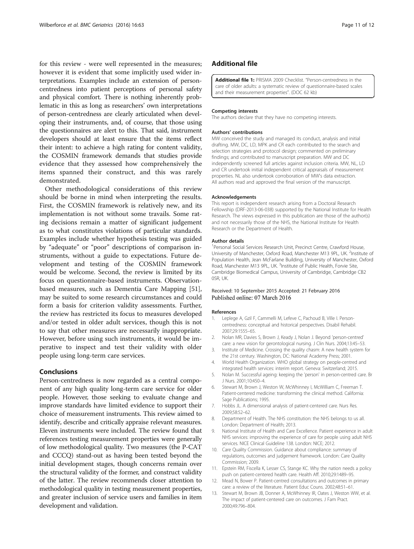<span id="page-10-0"></span>for this review - were well represented in the measures; however it is evident that some implicitly used wider interpretations. Examples include an extension of personcentredness into patient perceptions of personal safety and physical comfort. There is nothing inherently problematic in this as long as researchers' own interpretations of person-centredness are clearly articulated when developing their instruments, and, of course, that those using the questionnaires are alert to this. That said, instrument developers should at least ensure that the items reflect their intent: to achieve a high rating for content validity, the COSMIN framework demands that studies provide evidence that they assessed how comprehensively the items spanned their construct, and this was rarely demonstrated.

Other methodological considerations of this review should be borne in mind when interpreting the results. First, the COSMIN framework is relatively new, and its implementation is not without some travails. Some rating decisions remain a matter of significant judgement as to what constitutes violations of particular standards. Examples include whether hypothesis testing was guided by "adequate" or "poor" descriptions of comparison instruments, without a guide to expectations. Future development and testing of the COSMIN framework would be welcome. Second, the review is limited by its focus on questionnaire-based instruments. Observationbased measures, such as Dementia Care Mapping [\[51](#page-11-0)], may be suited to some research circumstances and could form a basis for criterion validity assessments. Further, the review has restricted its focus to measures developed and/or tested in older adult services, though this is not to say that other measures are necessarily inappropriate. However, before using such instruments, it would be imperative to inspect and test their validity with older people using long-term care services.

#### Conclusions

Person-centredness is now regarded as a central component of any high quality long-term care service for older people. However, those seeking to evaluate change and improve standards have limited evidence to support their choice of measurement instruments. This review aimed to identify, describe and critically appraise relevant measures. Eleven instruments were included. The review found that references testing measurement properties were generally of low methodological quality. Two measures (the P-CAT and CCCQ) stand-out as having been tested beyond the initial development stages, though concerns remain over the structural validity of the former, and construct validity of the latter. The review recommends closer attention to methodological quality in testing measurement properties, and greater inclusion of service users and families in item development and validation.

#### Additional file

[Additional file 1:](dx.doi.org/10.1186/s12877-016-0229-y) PRISMA 2009 Checklist. "Person-centredness in the care of older adults: a systematic review of questionnaire-based scales and their measurement properties". (DOC 62 kb)

#### Competing interests

The authors declare that they have no competing interests.

#### Authors' contributions

MW conceived the study and managed its conduct, analysis and initial drafting. MW, DC, LD, MPK and CR each contributed to the search and selection strategies and protocol design; commented on preliminary findings; and contributed to manuscript preparation. MW and DC independently screened full articles against inclusion criteria. MW, NL, LD and CR undertook initial independent critical appraisals of measurement properties. NL also undertook corroboration of MW's data extraction. All authors read and approved the final version of the manuscript.

#### Acknowledgements

This report is independent research arising from a Doctoral Research Fellowship (DRF-2013-06-038) supported by the National Institute for Health Research. The views expressed in this publication are those of the author(s) and not necessarily those of the NHS, the National Institute for Health Research or the Department of Health.

#### Author details

<sup>1</sup> Personal Social Services Research Unit, Precinct Centre, Crawford House, University of Manchester, Oxford Road, Manchester M13 9PL, UK. <sup>2</sup>Institute of Population Health, Jean McFarlane Building, University of Manchester, Oxford Road, Manchester M13 9PL, UK. <sup>3</sup>Institute of Public Health, Forvie Site Cambridge Biomedical Campus, University of Cambridge, Cambridge CB2 0SR, UK.

#### Received: 10 September 2015 Accepted: 21 February 2016 Published online: 07 March 2016

#### References

- 1. Leplege A, Gzil F, Cammelli M, Lefeve C, Pachoud B, Ville I. Personcentredness: conceptual and historical perspectives. Disabil Rehabil. 2007;29:1555–65.
- 2. Nolan MR, Davies S, Brown J, Keady J, Nolan J. Beyond 'person-centred' care: a new vision for gerontological nursing. J Clin Nurs. 2004;13:45–53.
- 3. Institute of Medicine. Crossing the quality chasm: A new health system for the 21st century. Washington, DC: National Academy Press; 2001.
- 4. World Health Organization. WHO global strategy on people-centred and integrated health services: interim report. Geneva: Switzerland; 2015.
- 5. Nolan M. Successful ageing: keeping the 'person' in person-centred care. Br J Nurs. 2001;10:450–4.
- 6. Stewart M, Brown J, Weston W, McWhinney I, McWilliam C, Freeman T. Patient-centered medicine: transforming the clinical method. California: Sage Publications: 1995.
- 7. Hobbs JL. A dimensional analysis of patient-centered care. Nurs Res. 2009;58:52–62.
- 8. Department of Health. The NHS constitution: the NHS belongs to us all. London: Department of Health; 2013.
- 9. National Institute of Health and Care Excellence. Patient experience in adult NHS services: improving the experience of care for people using adult NHS services. NICE Clinical Guideline 138. London: NICE; 2012.
- 10. Care Quality Commission. Guidance about compliance: summary of regulations, outcomes and judgement framework. London: Care Quality Commission; 2009.
- 11. Epstein RM, Fiscella K, Lesser CS, Stange KC. Why the nation needs a policy push on patient-centered health care. Health Aff. 2010;29:1489–95.
- 12. Mead N, Bower P. Patient-centred consultations and outcomes in primary care: a review of the literature. Patient Educ Couns. 2002;48:51–61.
- 13. Stewart M, Brown JB, Donner A, McWhinney IR, Oates J, Weston WW, et al. The impact of patient-centered care on outcomes. J Fam Pract. 2000;49:796–804.